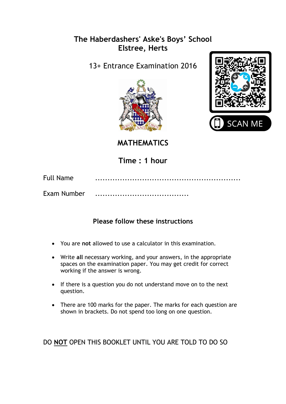## **The Haberdashers' Aske's Boys' School Elstree, Herts**

13+ Entrance Examination 2016





**MATHEMATICS** 

**Time : 1 hour**

| Full Name   |  |
|-------------|--|
| Exam Number |  |

## **Please follow these instructions**

- You are **not** allowed to use a calculator in this examination.
- Write **all** necessary working, and your answers, in the appropriate spaces on the examination paper. You may get credit for correct working if the answer is wrong.
- If there is a question you do not understand move on to the next question.
- There are 100 marks for the paper. The marks for each question are shown in brackets. Do not spend too long on one question.

DO **NOT** OPEN THIS BOOKLET UNTIL YOU ARE TOLD TO DO SO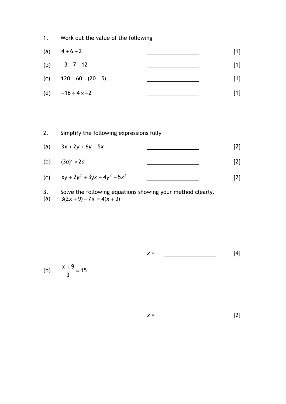1. Work out the value of the following

| (a) | $4+6 \div 2$                 | $[1]$ |
|-----|------------------------------|-------|
|     | (b) $-3-7-12$                | $[1]$ |
|     | (c) $120 + 60 \div (20 - 5)$ | $[1]$ |
| (d) | $-16 \div 4 \times -2$       | $[1]$ |

2. Simplify the following expressions fully  
\n(a) 
$$
3x + 2y + 6y - 5x
$$
 [2]  
\n(b)  $(3a)^2 \times 2a$  [2]  
\n(c)  $xy + 2y^2 + 3yx + 4y^2 + 5x^2$  [2]

- 3. Solve the following equations showing your method clearly.<br>(a)  $3(2x + 9) 7x = 4(x + 3)$
- (a)

$$
x = \boxed{4}
$$

$$
(b) \qquad \frac{x+9}{3} = 15
$$

 $x =$  [2]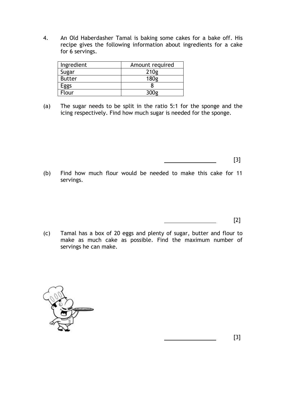4. An Old Haberdasher Tamal is baking some cakes for a bake off. His recipe gives the following information about ingredients for a cake for 6 servings.

| Ingredient    | Amount required |
|---------------|-----------------|
| Sugar         | 210g            |
| <b>Butter</b> | 180g            |
| -ggs          |                 |
| `lour         |                 |

(a) The sugar needs to be split in the ratio 5:1 for the sponge and the icing respectively. Find how much sugar is needed for the sponge.

[3]

(b) Find how much flour would be needed to make this cake for 11 servings.

[2]

(c) Tamal has a box of 20 eggs and plenty of sugar, butter and flour to make as much cake as possible. Find the maximum number of servings he can make.



[3]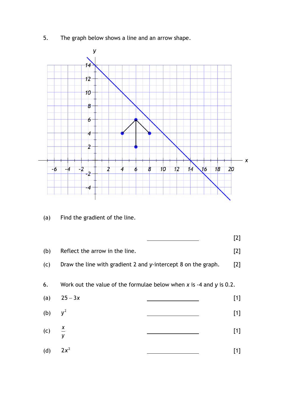5. The graph below shows a line and an arrow shape.



(a) Find the gradient of the line.

(b) Reflect the arrow in the line. [2]

(c) Draw the line with gradient 2 and *y*-intercept 8 on the graph. [2]

6. Work out the value of the formulae below when *x* is -4 and *y* is 0.2.

(a)  $25 - 3x$ [1] (b) 2 *y* [1] (c) *x y* [1] (d) 2 2*x* [1]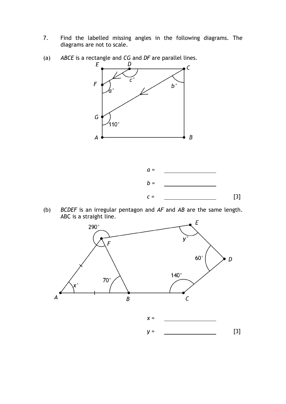- 7. Find the labelled missing angles in the following diagrams. The diagrams are not to scale.
- (a) *ABCE* is a rectangle and *CG* and *DF* are parallel lines.





(b) *BCDEF* is an irregular pentagon and *AF* and *AB* are the same length. ABC is a straight line.

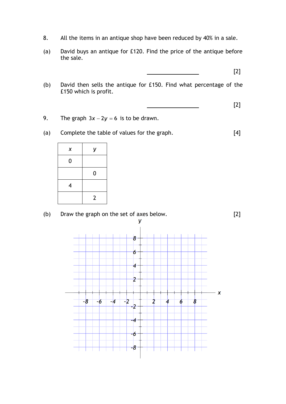- 8. All the items in an antique shop have been reduced by 40% in a sale.
- (a) David buys an antique for £120. Find the price of the antique before the sale.

[2]

(b) David then sells the antique for £150. Find what percentage of the £150 which is profit.

$$
\begin{array}{ccc}\n & & & \\
\hline\n & & & & \\
\hline\n & & & & \\
\hline\n & & & & \\
\hline\n & & & & \\
\hline\n & & & & \\
\hline\n & & & & \\
\hline\n & & & & \\
\hline\n & & & & \\
\hline\n & & & & \\
\hline\n & & & & \\
\hline\n & & & & \\
\hline\n & & & & \\
\hline\n & & & & \\
\hline\n & & & & \\
\hline\n & & & & \\
\hline\n & & & & \\
\hline\n & & & & \\
\hline\n & & & & & \\
\hline\n & & & & & \\
\hline\n & & & & & \\
\hline\n & & & & & \\
\hline\n & & & & & \\
\hline\n & & & & & & \\
\hline\n & & & & & & \\
\hline\n & & & & & & \\
\hline\n & & & & & & \\
\hline\n & & & & & & \\
\hline\n & & & & & & \\
\hline\n & & & & & & & \\
\hline\n & & & & & & & \\
\hline\n & & & & & & & \\
\hline\n\end{array}
$$

- 9. The graph  $3x 2y = 6$  is to be drawn.
- (a) Complete the table of values for the graph. [4]

| X | У              |
|---|----------------|
| 0 |                |
|   | 0              |
| 4 |                |
|   | $\overline{2}$ |



-4

-6

-8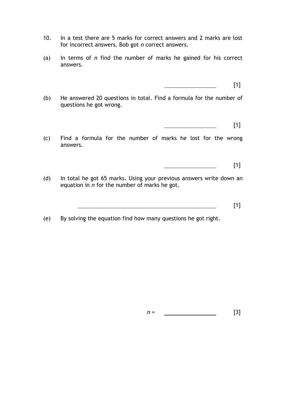- 10. In a test there are 5 marks for correct answers and 2 marks are lost for incorrect answers. Bob got *n* correct answers.
- (a) In terms of *n* find the number of marks he gained for his correct answers.

[1]

(b) He answered 20 questions in total. Find a formula for the number of questions he got wrong.

[1]

(c) Find a formula for the number of marks he lost for the wrong answers.

 $[1]$ 

(d) In total he got 65 marks. Using your previous answers write down an equation in *n* for the number of marks he got.

[1]

(e) By solving the equation find how many questions he got right.

*n* = <u>\_\_\_\_\_\_\_\_\_\_\_\_\_\_\_\_\_\_\_\_\_</u> [3]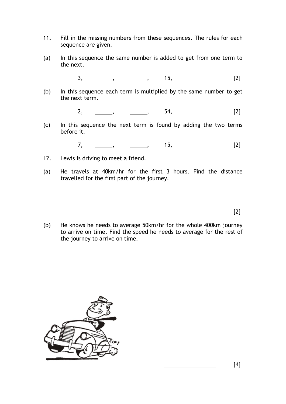- 11. Fill in the missing numbers from these sequences. The rules for each sequence are given.
- (a) In this sequence the same number is added to get from one term to the next.
	- 3, , , 15, [2]
- (b) In this sequence each term is multiplied by the same number to get the next term.

$$
2, \qquad \qquad \boxed{2}
$$

(c) In this sequence the next term is found by adding the two terms before it.

7, \_\_\_\_\_\_, \_\_\_\_\_\_, 15, [2]

- 12. Lewis is driving to meet a friend.
- (a) He travels at 40km/hr for the first 3 hours. Find the distance travelled for the first part of the journey.

[2]

(b) He knows he needs to average 50km/hr for the whole 400km journey to arrive on time. Find the speed he needs to average for the rest of the journey to arrive on time.



[4]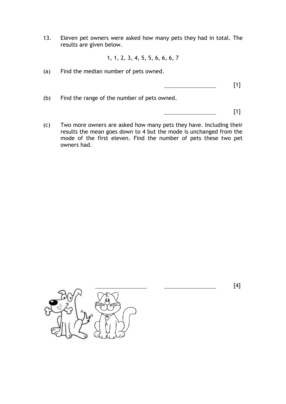13. Eleven pet owners were asked how many pets they had in total. The results are given below.

1, 1, 2, 3, 4, 5, 5, 6, 6, 6, 7

(a) Find the median number of pets owned.

[1]

(b) Find the range of the number of pets owned.

[1]

(c) Two more owners are asked how many pets they have. Including their results the mean goes down to 4 but the mode is unchanged from the mode of the first eleven. Find the number of pets these two pet owners had.



[4]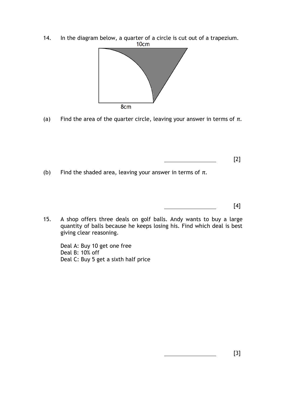



(a) Find the area of the quarter circle, leaving your answer in terms of  $\pi$ .

[2]

(b) Find the shaded area, leaving your answer in terms of *π*.

[4]

15. A shop offers three deals on golf balls. Andy wants to buy a large quantity of balls because he keeps losing his. Find which deal is best giving clear reasoning.

Deal A: Buy 10 get one free Deal B: 10% off Deal C: Buy 5 get a sixth half price

[3]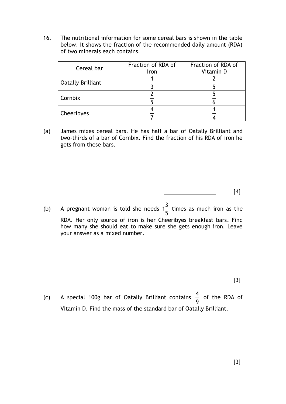16. The nutritional information for some cereal bars is shown in the table below. It shows the fraction of the recommended daily amount (RDA) of two minerals each contains.

| Cereal bar               | Fraction of RDA of<br>Iron | Fraction of RDA of<br>Vitamin D |
|--------------------------|----------------------------|---------------------------------|
| <b>Oatally Brilliant</b> |                            |                                 |
| Cornbix                  |                            |                                 |
| Cheeribyes               |                            |                                 |

(a) James mixes cereal bars. He has half a bar of Oatally Brilliant and two-thirds of a bar of Cornbix. Find the fraction of his RDA of iron he gets from these bars.

[4]

(b) A pregnant woman is told she needs  $1\frac{3}{5}$ 5 times as much iron as the RDA. Her only source of iron is her Cheeribyes breakfast bars. Find how many she should eat to make sure she gets enough iron. Leave your answer as a mixed number.

[3]

(c) A special 100g bar of Oatally Brilliant contains  $\frac{4}{5}$ 9 of the RDA of Vitamin D. Find the mass of the standard bar of Oatally Brilliant.

[3]